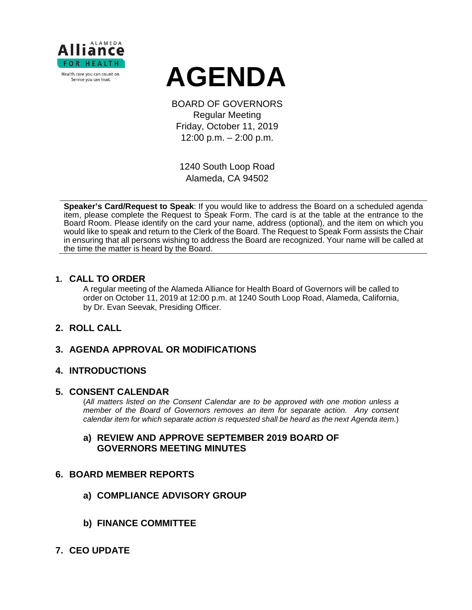

# **AGENDA**

BOARD OF GOVERNORS Regular Meeting Friday, October 11, 2019 12:00 p.m. – 2:00 p.m.

1240 South Loop Road Alameda, CA 94502

**Speaker's Card/Request to Speak**: If you would like to address the Board on a scheduled agenda item, please complete the Request to Speak Form. The card is at the table at the entrance to the Board Room. Please identify on the card your name, address (optional), and the item on which you would like to speak and return to the Clerk of the Board. The Request to Speak Form assists the Chair in ensuring that all persons wishing to address the Board are recognized. Your name will be called at the time the matter is heard by the Board.

### **1. CALL TO ORDER**

A regular meeting of the Alameda Alliance for Health Board of Governors will be called to order on October 11, 2019 at 12:00 p.m. at 1240 South Loop Road, Alameda, California, by Dr. Evan Seevak, Presiding Officer.

# **2. ROLL CALL**

# **3. AGENDA APPROVAL OR MODIFICATIONS**

# **4. INTRODUCTIONS**

#### **5. CONSENT CALENDAR**

(*All matters listed on the Consent Calendar are to be approved with one motion unless a member of the Board of Governors removes an item for separate action. Any consent calendar item for which separate action is requested shall be heard as the next Agenda item.*)

### **a) REVIEW AND APPROVE SEPTEMBER 2019 BOARD OF GOVERNORS MEETING MINUTES**

#### **6. BOARD MEMBER REPORTS**

- **a) COMPLIANCE ADVISORY GROUP**
- **b) FINANCE COMMITTEE**
- **7. CEO UPDATE**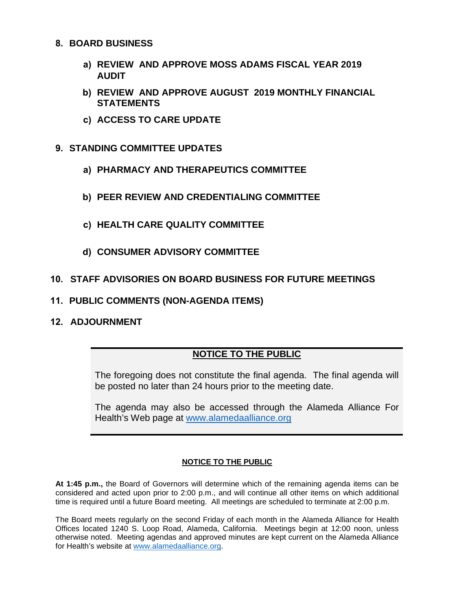#### **8. BOARD BUSINESS**

- **a) REVIEW AND APPROVE MOSS ADAMS FISCAL YEAR 2019 AUDIT**
- **b) REVIEW AND APPROVE AUGUST 2019 MONTHLY FINANCIAL STATEMENTS**
- **c) ACCESS TO CARE UPDATE**
- **9. STANDING COMMITTEE UPDATES**
	- **a) PHARMACY AND THERAPEUTICS COMMITTEE**
	- **b) PEER REVIEW AND CREDENTIALING COMMITTEE**
	- **c) HEALTH CARE QUALITY COMMITTEE**
	- **d) CONSUMER ADVISORY COMMITTEE**

# **10. STAFF ADVISORIES ON BOARD BUSINESS FOR FUTURE MEETINGS**

- **11. PUBLIC COMMENTS (NON-AGENDA ITEMS)**
- **12. ADJOURNMENT**

# **NOTICE TO THE PUBLIC**

The foregoing does not constitute the final agenda. The final agenda will be posted no later than 24 hours prior to the meeting date.

The agenda may also be accessed through the Alameda Alliance For Health's Web page at [www.alamedaalliance.org](http://www.alamedaalliance.org/)

#### **NOTICE TO THE PUBLIC**

**At 1:45 p.m.,** the Board of Governors will determine which of the remaining agenda items can be considered and acted upon prior to 2:00 p.m., and will continue all other items on which additional time is required until a future Board meeting. All meetings are scheduled to terminate at 2:00 p.m.

The Board meets regularly on the second Friday of each month in the Alameda Alliance for Health Offices located 1240 S. Loop Road, Alameda, California. Meetings begin at 12:00 noon, unless otherwise noted. Meeting agendas and approved minutes are kept current on the Alameda Alliance for Health's website at [www.alamedaalliance.org.](http://www.alamedaalliance.org/)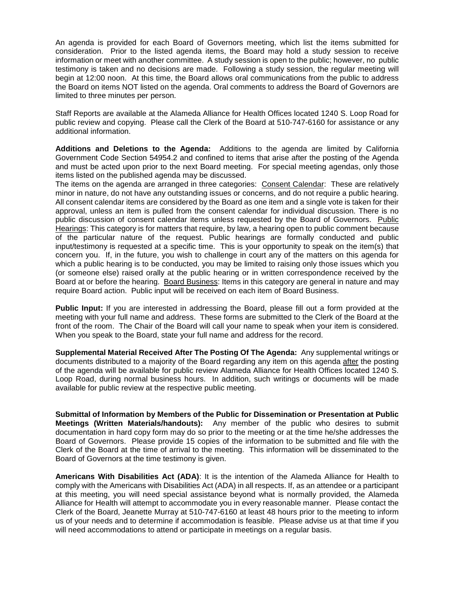An agenda is provided for each Board of Governors meeting, which list the items submitted for consideration. Prior to the listed agenda items, the Board may hold a study session to receive information or meet with another committee. A study session is open to the public; however, no public testimony is taken and no decisions are made. Following a study session, the regular meeting will begin at 12:00 noon. At this time, the Board allows oral communications from the public to address the Board on items NOT listed on the agenda. Oral comments to address the Board of Governors are limited to three minutes per person.

Staff Reports are available at the Alameda Alliance for Health Offices located 1240 S. Loop Road for public review and copying. Please call the Clerk of the Board at 510-747-6160 for assistance or any additional information.

**Additions and Deletions to the Agenda:** Additions to the agenda are limited by California Government Code Section 54954.2 and confined to items that arise after the posting of the Agenda and must be acted upon prior to the next Board meeting. For special meeting agendas, only those items listed on the published agenda may be discussed.

The items on the agenda are arranged in three categories: Consent Calendar: These are relatively minor in nature, do not have any outstanding issues or concerns, and do not require a public hearing. All consent calendar items are considered by the Board as one item and a single vote is taken for their approval, unless an item is pulled from the consent calendar for individual discussion. There is no public discussion of consent calendar items unless requested by the Board of Governors. Public Hearings: This category is for matters that require, by law, a hearing open to public comment because of the particular nature of the request. Public hearings are formally conducted and public input/testimony is requested at a specific time. This is your opportunity to speak on the item(s) that concern you. If, in the future, you wish to challenge in court any of the matters on this agenda for which a public hearing is to be conducted, you may be limited to raising only those issues which you (or someone else) raised orally at the public hearing or in written correspondence received by the Board at or before the hearing. Board Business: Items in this category are general in nature and may require Board action. Public input will be received on each item of Board Business.

**Public Input:** If you are interested in addressing the Board, please fill out a form provided at the meeting with your full name and address. These forms are submitted to the Clerk of the Board at the front of the room. The Chair of the Board will call your name to speak when your item is considered. When you speak to the Board, state your full name and address for the record.

**Supplemental Material Received After The Posting Of The Agenda:** Any supplemental writings or documents distributed to a majority of the Board regarding any item on this agenda after the posting of the agenda will be available for public review Alameda Alliance for Health Offices located 1240 S. Loop Road, during normal business hours. In addition, such writings or documents will be made available for public review at the respective public meeting.

**Submittal of Information by Members of the Public for Dissemination or Presentation at Public Meetings (Written Materials/handouts):** Any member of the public who desires to submit documentation in hard copy form may do so prior to the meeting or at the time he/she addresses the Board of Governors. Please provide 15 copies of the information to be submitted and file with the Clerk of the Board at the time of arrival to the meeting. This information will be disseminated to the Board of Governors at the time testimony is given.

**Americans With Disabilities Act (ADA)**: It is the intention of the Alameda Alliance for Health to comply with the Americans with Disabilities Act (ADA) in all respects. If, as an attendee or a participant at this meeting, you will need special assistance beyond what is normally provided, the Alameda Alliance for Health will attempt to accommodate you in every reasonable manner. Please contact the Clerk of the Board, Jeanette Murray at 510-747-6160 at least 48 hours prior to the meeting to inform us of your needs and to determine if accommodation is feasible. Please advise us at that time if you will need accommodations to attend or participate in meetings on a regular basis.